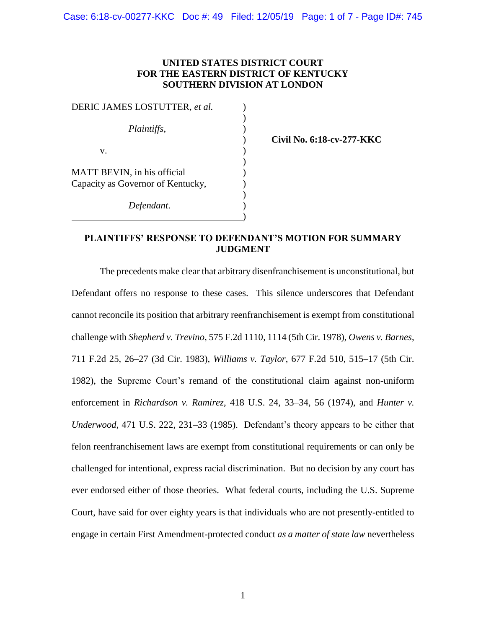## **UNITED STATES DISTRICT COURT FOR THE EASTERN DISTRICT OF KENTUCKY SOUTHERN DIVISION AT LONDON**

| DERIC JAMES LOSTUTTER, et al.     |  |
|-----------------------------------|--|
|                                   |  |
| <i>Plaintiffs,</i>                |  |
|                                   |  |
| V.                                |  |
|                                   |  |
| MATT BEVIN, in his official       |  |
| Capacity as Governor of Kentucky, |  |
|                                   |  |
| Defendant.                        |  |
|                                   |  |

) **Civil No. 6:18-cv-277-KKC** 

## **PLAINTIFFS' RESPONSE TO DEFENDANT'S MOTION FOR SUMMARY JUDGMENT**

The precedents make clear that arbitrary disenfranchisement is unconstitutional, but Defendant offers no response to these cases. This silence underscores that Defendant cannot reconcile its position that arbitrary reenfranchisement is exempt from constitutional challenge with *Shepherd v. Trevino*, 575 F.2d 1110, 1114 (5th Cir. 1978), *Owens v. Barnes*, 711 F.2d 25, 26–27 (3d Cir. 1983), *Williams v. Taylor*, 677 F.2d 510, 515–17 (5th Cir. 1982), the Supreme Court's remand of the constitutional claim against non-uniform enforcement in *Richardson v. Ramirez*, 418 U.S. 24, 33–34, 56 (1974), and *Hunter v. Underwood*, 471 U.S. 222, 231–33 (1985). Defendant's theory appears to be either that felon reenfranchisement laws are exempt from constitutional requirements or can only be challenged for intentional, express racial discrimination. But no decision by any court has ever endorsed either of those theories. What federal courts, including the U.S. Supreme Court, have said for over eighty years is that individuals who are not presently-entitled to engage in certain First Amendment-protected conduct *as a matter of state law* nevertheless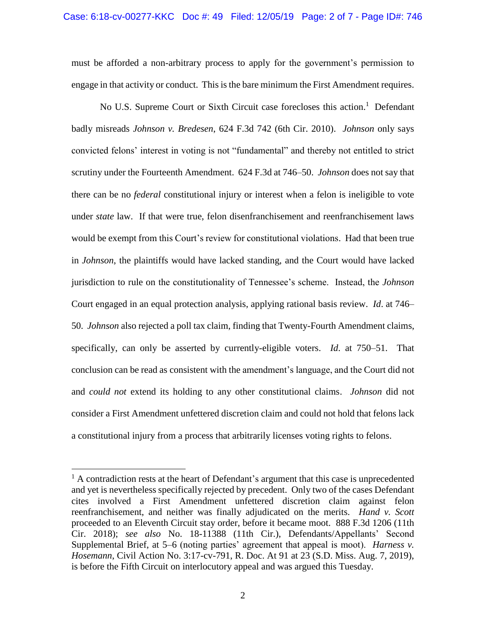must be afforded a non-arbitrary process to apply for the government's permission to engage in that activity or conduct. This is the bare minimum the First Amendment requires.

No U.S. Supreme Court or Sixth Circuit case forecloses this action.<sup>1</sup> Defendant badly misreads *Johnson v. Bredesen*, 624 F.3d 742 (6th Cir. 2010). *Johnson* only says convicted felons' interest in voting is not "fundamental" and thereby not entitled to strict scrutiny under the Fourteenth Amendment. 624 F.3d at 746–50. *Johnson* does not say that there can be no *federal* constitutional injury or interest when a felon is ineligible to vote under *state* law. If that were true, felon disenfranchisement and reenfranchisement laws would be exempt from this Court's review for constitutional violations. Had that been true in *Johnson*, the plaintiffs would have lacked standing, and the Court would have lacked jurisdiction to rule on the constitutionality of Tennessee's scheme. Instead, the *Johnson*  Court engaged in an equal protection analysis, applying rational basis review. *Id*. at 746– 50. *Johnson* also rejected a poll tax claim, finding that Twenty-Fourth Amendment claims, specifically, can only be asserted by currently-eligible voters. *Id*. at 750–51. That conclusion can be read as consistent with the amendment's language, and the Court did not and *could not* extend its holding to any other constitutional claims. *Johnson* did not consider a First Amendment unfettered discretion claim and could not hold that felons lack a constitutional injury from a process that arbitrarily licenses voting rights to felons.

 $\overline{a}$ 

 $<sup>1</sup>$  A contradiction rests at the heart of Defendant's argument that this case is unprecedented</sup> and yet is nevertheless specifically rejected by precedent. Only two of the cases Defendant cites involved a First Amendment unfettered discretion claim against felon reenfranchisement, and neither was finally adjudicated on the merits. *Hand v. Scott*  proceeded to an Eleventh Circuit stay order, before it became moot. 888 F.3d 1206 (11th Cir. 2018); *see also* No. 18-11388 (11th Cir.), Defendants/Appellants' Second Supplemental Brief, at 5–6 (noting parties' agreement that appeal is moot). *Harness v. Hosemann*, Civil Action No. 3:17-cv-791, R. Doc. At 91 at 23 (S.D. Miss. Aug. 7, 2019), is before the Fifth Circuit on interlocutory appeal and was argued this Tuesday.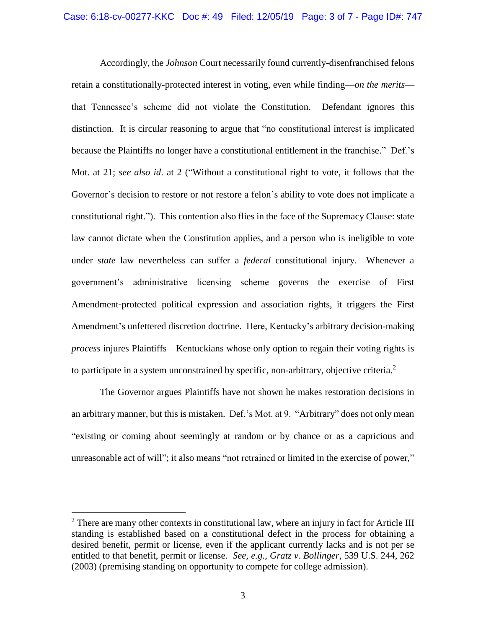Accordingly, the *Johnson* Court necessarily found currently-disenfranchised felons retain a constitutionally-protected interest in voting, even while finding—*on the merits* that Tennessee's scheme did not violate the Constitution. Defendant ignores this distinction. It is circular reasoning to argue that "no constitutional interest is implicated because the Plaintiffs no longer have a constitutional entitlement in the franchise." Def.'s Mot. at 21; *see also id*. at 2 ("Without a constitutional right to vote, it follows that the Governor's decision to restore or not restore a felon's ability to vote does not implicate a constitutional right."). This contention also flies in the face of the Supremacy Clause: state law cannot dictate when the Constitution applies, and a person who is ineligible to vote under *state* law nevertheless can suffer a *federal* constitutional injury. Whenever a government's administrative licensing scheme governs the exercise of First Amendment‑protected political expression and association rights, it triggers the First Amendment's unfettered discretion doctrine. Here, Kentucky's arbitrary decision-making *process* injures Plaintiffs—Kentuckians whose only option to regain their voting rights is to participate in a system unconstrained by specific, non-arbitrary, objective criteria.<sup>2</sup>

The Governor argues Plaintiffs have not shown he makes restoration decisions in an arbitrary manner, but this is mistaken. Def.'s Mot. at 9. "Arbitrary" does not only mean "existing or coming about seemingly at random or by chance or as a capricious and unreasonable act of will"; it also means "not retrained or limited in the exercise of power,"

 $\overline{a}$ 

 $2$  There are many other contexts in constitutional law, where an injury in fact for Article III standing is established based on a constitutional defect in the process for obtaining a desired benefit, permit or license, even if the applicant currently lacks and is not per se entitled to that benefit, permit or license. *See, e.g.*, *Gratz v. Bollinger*, 539 U.S. 244, 262 (2003) (premising standing on opportunity to compete for college admission).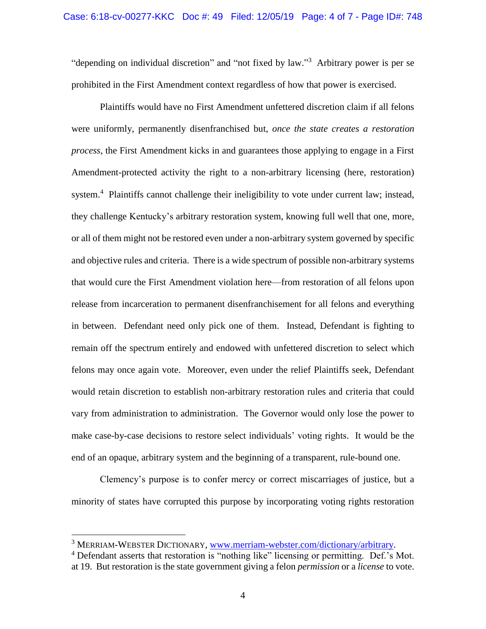"depending on individual discretion" and "not fixed by law."<sup>3</sup> Arbitrary power is per se prohibited in the First Amendment context regardless of how that power is exercised.

Plaintiffs would have no First Amendment unfettered discretion claim if all felons were uniformly, permanently disenfranchised but, *once the state creates a restoration process*, the First Amendment kicks in and guarantees those applying to engage in a First Amendment-protected activity the right to a non-arbitrary licensing (here, restoration) system.<sup>4</sup> Plaintiffs cannot challenge their ineligibility to vote under current law; instead, they challenge Kentucky's arbitrary restoration system, knowing full well that one, more, or all of them might not be restored even under a non-arbitrary system governed by specific and objective rules and criteria. There is a wide spectrum of possible non-arbitrary systems that would cure the First Amendment violation here—from restoration of all felons upon release from incarceration to permanent disenfranchisement for all felons and everything in between. Defendant need only pick one of them. Instead, Defendant is fighting to remain off the spectrum entirely and endowed with unfettered discretion to select which felons may once again vote. Moreover, even under the relief Plaintiffs seek, Defendant would retain discretion to establish non-arbitrary restoration rules and criteria that could vary from administration to administration. The Governor would only lose the power to make case-by-case decisions to restore select individuals' voting rights. It would be the end of an opaque, arbitrary system and the beginning of a transparent, rule-bound one.

Clemency's purpose is to confer mercy or correct miscarriages of justice, but a minority of states have corrupted this purpose by incorporating voting rights restoration

l

<sup>&</sup>lt;sup>3</sup> MERRIAM-WEBSTER DICTIONARY, [www.merriam-webster.com/dictionary/arbitrary.](http://www.merriam-webster.com/dictionary/arbitrary)

<sup>&</sup>lt;sup>4</sup> Defendant asserts that restoration is "nothing like" licensing or permitting. Def.'s Mot. at 19. But restoration is the state government giving a felon *permission* or a *license* to vote.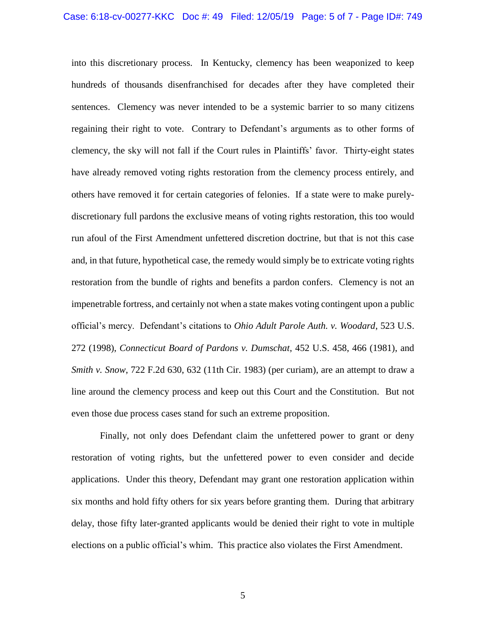into this discretionary process. In Kentucky, clemency has been weaponized to keep hundreds of thousands disenfranchised for decades after they have completed their sentences. Clemency was never intended to be a systemic barrier to so many citizens regaining their right to vote. Contrary to Defendant's arguments as to other forms of clemency, the sky will not fall if the Court rules in Plaintiffs' favor. Thirty-eight states have already removed voting rights restoration from the clemency process entirely, and others have removed it for certain categories of felonies. If a state were to make purelydiscretionary full pardons the exclusive means of voting rights restoration, this too would run afoul of the First Amendment unfettered discretion doctrine, but that is not this case and, in that future, hypothetical case, the remedy would simply be to extricate voting rights restoration from the bundle of rights and benefits a pardon confers. Clemency is not an impenetrable fortress, and certainly not when a state makes voting contingent upon a public official's mercy. Defendant's citations to *Ohio Adult Parole Auth. v. Woodard*, 523 U.S. 272 (1998), *Connecticut Board of Pardons v. Dumschat*, 452 U.S. 458, 466 (1981), and *Smith v. Snow,* 722 F.2d 630, 632 (11th Cir. 1983) (per curiam), are an attempt to draw a line around the clemency process and keep out this Court and the Constitution. But not even those due process cases stand for such an extreme proposition.

Finally, not only does Defendant claim the unfettered power to grant or deny restoration of voting rights, but the unfettered power to even consider and decide applications. Under this theory, Defendant may grant one restoration application within six months and hold fifty others for six years before granting them. During that arbitrary delay, those fifty later-granted applicants would be denied their right to vote in multiple elections on a public official's whim. This practice also violates the First Amendment.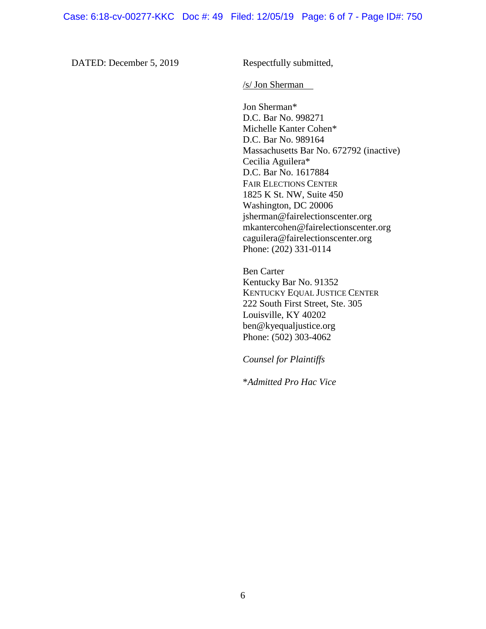DATED: December 5, 2019 Respectfully submitted,

/s/ Jon Sherman

Jon Sherman\* D.C. Bar No. 998271 Michelle Kanter Cohen\* D.C. Bar No. 989164 Massachusetts Bar No. 672792 (inactive) Cecilia Aguilera\* D.C. Bar No. 1617884 FAIR ELECTIONS CENTER 1825 K St. NW, Suite 450 Washington, DC 20006 jsherman@fairelectionscenter.org mkantercohen@fairelectionscenter.org caguilera@fairelectionscenter.org Phone: (202) 331-0114

Ben Carter Kentucky Bar No. 91352 KENTUCKY EQUAL JUSTICE CENTER 222 South First Street, Ste. 305 Louisville, KY 40202 ben@kyequaljustice.org Phone: (502) 303-4062

*Counsel for Plaintiffs*

\**Admitted Pro Hac Vice*